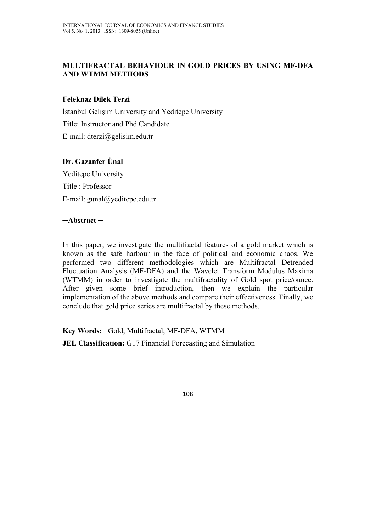## **MULTIFRACTAL BEHAVIOUR IN GOLD PRICES BY USING MF-DFA AND WTMM METHODS**

## **Feleknaz Dilek Terzi**

İstanbul Gelişim University and Yeditepe University Title: Instructor and Phd Candidate E-mail: dterzi@gelisim.edu.tr

## **Dr. Gazanfer Ünal**

Yeditepe University Title : Professor E-mail: gunal@yeditepe.edu.tr

### **─Abstract ─**

In this paper, we investigate the multifractal features of a gold market which is known as the safe harbour in the face of political and economic chaos. We performed two different methodologies which are Multifractal Detrended Fluctuation Analysis (MF-DFA) and the Wavelet Transform Modulus Maxima (WTMM) in order to investigate the multifractality of Gold spot price/ounce. After given some brief introduction, then we explain the particular implementation of the above methods and compare their effectiveness. Finally, we conclude that gold price series are multifractal by these methods.

**Key Words:** Gold, Multifractal, MF-DFA, WTMM

**JEL Classification:** G17 Financial Forecasting and Simulation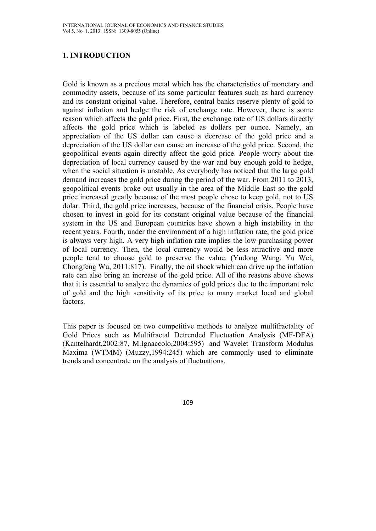## **1. INTRODUCTION**

Gold is known as a precious metal which has the characteristics of monetary and commodity assets, because of its some particular features such as hard currency and its constant original value. Therefore, central banks reserve plenty of gold to against inflation and hedge the risk of exchange rate. However, there is some reason which affects the gold price. First, the exchange rate of US dollars directly affects the gold price which is labeled as dollars per ounce. Namely, an appreciation of the US dollar can cause a decrease of the gold price and a depreciation of the US dollar can cause an increase of the gold price. Second, the geopolitical events again directly affect the gold price. People worry about the depreciation of local currency caused by the war and buy enough gold to hedge, when the social situation is unstable. As everybody has noticed that the large gold demand increases the gold price during the period of the war. From 2011 to 2013, geopolitical events broke out usually in the area of the Middle East so the gold price increased greatly because of the most people chose to keep gold, not to US dolar. Third, the gold price increases, because of the financial crisis. People have chosen to invest in gold for its constant original value because of the financial system in the US and European countries have shown a high instability in the recent years. Fourth, under the environment of a high inflation rate, the gold price is always very high. A very high inflation rate implies the low purchasing power of local currency. Then, the local currency would be less attractive and more people tend to choose gold to preserve the value. (Yudong Wang, Yu Wei, Chongfeng Wu, 2011:817). Finally, the oil shock which can drive up the inflation rate can also bring an increase of the gold price. All of the reasons above shows that it is essential to analyze the dynamics of gold prices due to the important role of gold and the high sensitivity of its price to many market local and global factors.

This paper is focused on two competitive methods to analyze multifractality of Gold Prices such as Multifractal Detrended Fluctuation Analysis (MF-DFA) (Kantelhardt,2002:87, M.Ignaccolo,2004:595) and Wavelet Transform Modulus Maxima (WTMM) (Muzzy,1994:245) which are commonly used to eliminate trends and concentrate on the analysis of fluctuations.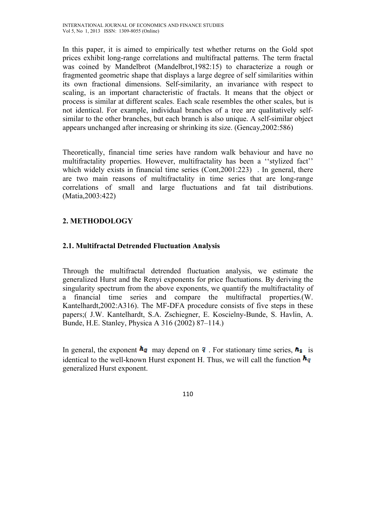In this paper, it is aimed to empirically test whether returns on the Gold spot prices exhibit long-range correlations and multifractal patterns. The term fractal was coined by Mandelbrot (Mandelbrot,1982:15) to characterize a rough or fragmented geometric shape that displays a large degree of self similarities within its own fractional dimensions. Self-similarity, an invariance with respect to scaling, is an important characteristic of fractals. It means that the object or process is similar at different scales. Each scale resembles the other scales, but is not identical. For example, individual branches of a tree are qualitatively selfsimilar to the other branches, but each branch is also unique. A self-similar object appears unchanged after increasing or shrinking its size. (Gencay,2002:586)

Theoretically, financial time series have random walk behaviour and have no multifractality properties. However, multifractality has been a ''stylized fact'' which widely exists in financial time series (Cont, 2001:223). In general, there are two main reasons of multifractality in time series that are long-range correlations of small and large fluctuations and fat tail distributions. (Matia,2003:422)

# **2. METHODOLOGY**

## **2.1. Multifractal Detrended Fluctuation Analysis**

Through the multifractal detrended fluctuation analysis, we estimate the generalized Hurst and the Renyi exponents for price fluctuations. By deriving the singularity spectrum from the above exponents, we quantify the multifractality of a financial time series and compare the multifractal properties.(W. Kantelhardt,2002:A316). The MF-DFA procedure consists of five steps in these papers;( J.W. Kantelhardt, S.A. Zschiegner, E. Koscielny-Bunde, S. Havlin, A. Bunde, H.E. Stanley, Physica A 316 (2002) 87–114.)

In general, the exponent  $\mathbf{h}_q$  may depend on  $\mathbf{q}$ . For stationary time series,  $\mathbf{h}_z$  is identical to the well-known Hurst exponent H. Thus, we will call the function  $\mathbf{h}_q$ generalized Hurst exponent.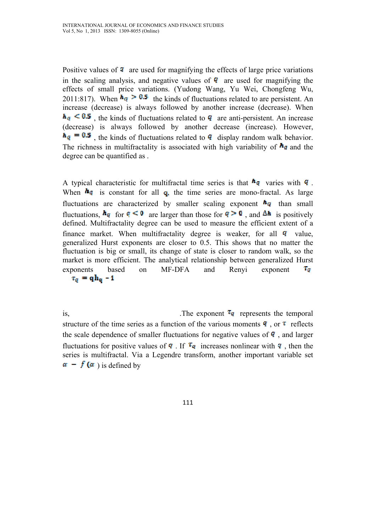Positive values of  $\bf{q}$  are used for magnifying the effects of large price variations in the scaling analysis, and negative values of  $q$  are used for magnifying the effects of small price variations. (Yudong Wang, Yu Wei, Chongfeng Wu, 2011:817). When  $h_q > 0.5$  the kinds of fluctuations related to are persistent. An increase (decrease) is always followed by another increase (decrease). When  $h_{q} \leq 0.5$ , the kinds of fluctuations related to q are anti-persistent. An increase (decrease) is always followed by another decrease (increase). However,  $h_{q} = 0.5$ , the kinds of fluctuations related to q display random walk behavior. The richness in multifractality is associated with high variability of  $\mathbf{h}_q$  and the degree can be quantified as .

A typical characteristic for multifractal time series is that  $\frac{h_q}{q}$  varies with  $q$ . When  $\mathbf{h}_{q}$  is constant for all q, the time series are mono-fractal. As large fluctuations are characterized by smaller scaling exponent  $\mathbf{h}_q$  than small fluctuations,  $h_q$  for  $q \leq 0$  are larger than those for  $q > 0$ , and  $\Delta h$  is positively defined. Multifractality degree can be used to measure the efficient extent of a finance market. When multifractality degree is weaker, for all  $\boldsymbol{q}$  value, generalized Hurst exponents are closer to 0.5. This shows that no matter the fluctuation is big or small, its change of state is closer to random walk, so the market is more efficient. The analytical relationship between generalized Hurst  $T_{\rm G}$ exponents based on MF-DFA and Renyi exponent  $\tau_q = q h_q - 1$ 

is,  $\sum_{n=1}^{\infty}$  The exponent  $\tau_q$  represents the temporal structure of the time series as a function of the various moments  $q$ , or  $\tau$  reflects the scale dependence of smaller fluctuations for negative values of  $\bf{q}$ , and larger fluctuations for positive values of  $\bf{q}$ . If  $\bf{r}_q$  increases nonlinear with  $\bf{q}$ , then the series is multifractal. Via a Legendre transform, another important variable set  $\alpha - f(\alpha)$  is defined by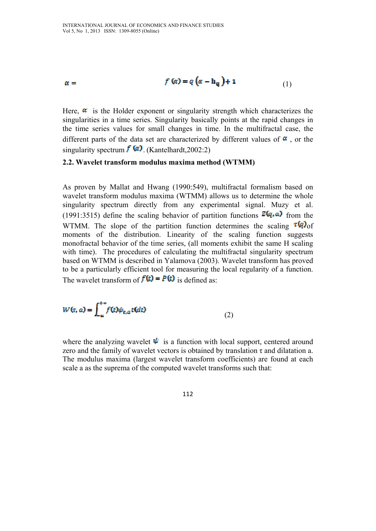$$
\alpha = \qquad \qquad f(\alpha) = q(\alpha - h_q) + 1 \qquad (1)
$$

Here,  $\alpha$  is the Holder exponent or singularity strength which characterizes the singularities in a time series. Singularity basically points at the rapid changes in the time series values for small changes in time. In the multifractal case, the different parts of the data set are characterized by different values of  $\alpha$ , or the singularity spectrum  $\mathbf{f}(\mathbf{a})$  (Kantelhardt, 2002:2)

#### **2.2. Wavelet transform modulus maxima method (WTMM)**

As proven by Mallat and Hwang (1990:549), multifractal formalism based on wavelet transform modulus maxima (WTMM) allows us to determine the whole singularity spectrum directly from any experimental signal. Muzy et al. (1991:3515) define the scaling behavior of partition functions  $Z(q, a)$  from the WTMM. The slope of the partition function determines the scaling  $\tau(q)$  of moments of the distribution. Linearity of the scaling function suggests monofractal behavior of the time series, (all moments exhibit the same H scaling with time). The procedures of calculating the multifractal singularity spectrum based on WTMM is described in Yalamova (2003). Wavelet transform has proved to be a particularly efficient tool for measuring the local regularity of a function. The wavelet transform of  $f(t) = P(t)$  is defined as:

 $(2)$ 

where the analyzing wavelet  $\psi$  is a function with local support, centered around zero and the family of wavelet vectors is obtained by translation  $\tau$  and dilatation a. The modulus maxima (largest wavelet transform coefficients) are found at each scale a as the suprema of the computed wavelet transforms such that: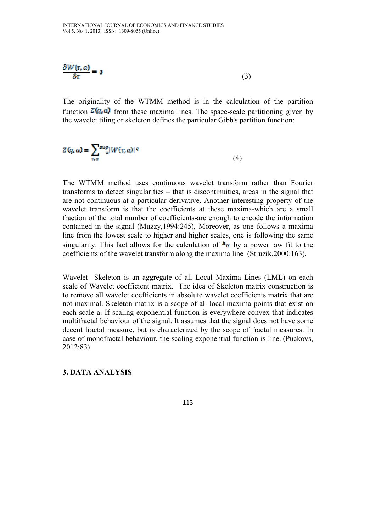$$
\frac{\partial W(r, a)}{\partial r} = 0 \tag{3}
$$

The originality of the WTMM method is in the calculation of the partition function  $\mathbb{Z}(\mathfrak{q},a)$  from these maxima lines. The space-scale partitioning given by the wavelet tiling or skeleton defines the particular Gibb's partition function:

$$
Z(q, a) = \sum_{\tau, a} \frac{sup}{a} |W(\tau, a)|^q
$$
 (4)

The WTMM method uses continuous wavelet transform rather than Fourier transforms to detect singularities – that is discontinuities, areas in the signal that are not continuous at a particular derivative. Another interesting property of the wavelet transform is that the coefficients at these maxima-which are a small fraction of the total number of coefficients-are enough to encode the information contained in the signal (Muzzy,1994:245), Moreover, as one follows a maxima line from the lowest scale to higher and higher scales, one is following the same singularity. This fact allows for the calculation of  $\mathbf{h}_q$  by a power law fit to the coefficients of the wavelet transform along the maxima line (Struzik,2000:163).

Wavelet Skeleton is an aggregate of all Local Maxima Lines (LML) on each scale of Wavelet coefficient matrix. The idea of Skeleton matrix construction is to remove all wavelet coefficients in absolute wavelet coefficients matrix that are not maximal. Skeleton matrix is a scope of all local maxima points that exist on each scale a. If scaling exponential function is everywhere convex that indicates multifractal behaviour of the signal. It assumes that the signal does not have some decent fractal measure, but is characterized by the scope of fractal measures. In case of monofractal behaviour, the scaling exponential function is line. (Puckovs, 2012:83)

### **3. DATA ANALYSIS**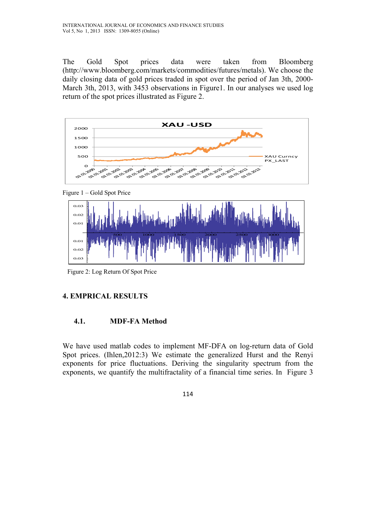The Gold Spot prices data were taken from Bloomberg (http://www.bloomberg.com/markets/commodities/futures/metals). We choose the daily closing data of gold prices traded in spot over the period of Jan 3th, 2000- March 3th, 2013, with 3453 observations in Figure1. In our analyses we used log return of the spot prices illustrated as Figure 2.







Figure 2: Log Return Of Spot Price

## **4. EMPRICAL RESULTS**

#### **4.1. MDF-FA Method**

We have used matlab codes to implement MF-DFA on log-return data of Gold Spot prices. (Ihlen,2012:3) We estimate the generalized Hurst and the Renyi exponents for price fluctuations. Deriving the singularity spectrum from the exponents, we quantify the multifractality of a financial time series. In Figure 3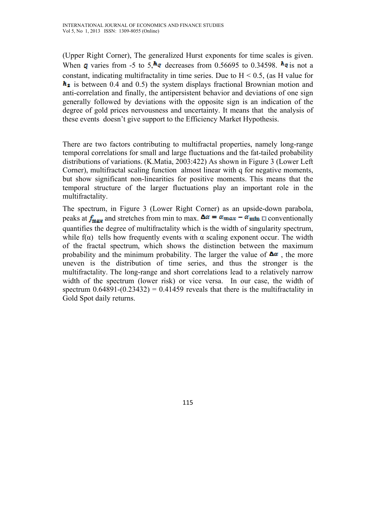(Upper Right Corner), The generalized Hurst exponents for time scales is given. When q varies from -5 to 5,  $\mathbf{h}_q$  decreases from 0.56695 to 0.34598.  $\mathbf{h}_q$  is not a constant, indicating multifractality in time series. Due to  $H < 0.5$ , (as H value for  $h<sub>2</sub>$  is between 0.4 and 0.5) the system displays fractional Brownian motion and anti-correlation and finally, the antipersistent behavior and deviations of one sign generally followed by deviations with the opposite sign is an indication of the degree of gold prices nervousness and uncertainty. It means that the analysis of these events doesn't give support to the Efficiency Market Hypothesis.

There are two factors contributing to multifractal properties, namely long-range temporal correlations for small and large fluctuations and the fat-tailed probability distributions of variations. (K.Matia, 2003:422) As shown in Figure 3 (Lower Left Corner), multifractal scaling function almost linear with q for negative moments, but show significant non-linearities for positive moments. This means that the temporal structure of the larger fluctuations play an important role in the multifractality.

The spectrum, in Figure 3 (Lower Right Corner) as an upside-down parabola, peaks at  $f_{\text{max}}$  and stretches from min to max.  $\Delta \alpha = \alpha_{\text{max}} - \alpha_{\text{min}}$  is conventionally quantifies the degree of multifractality which is the width of singularity spectrum, while  $f(\alpha)$  tells how frequently events with  $\alpha$  scaling exponent occur. The width of the fractal spectrum, which shows the distinction between the maximum probability and the minimum probability. The larger the value of  $\Delta \alpha$ , the more uneven is the distribution of time series, and thus the stronger is the multifractality. The long-range and short correlations lead to a relatively narrow width of the spectrum (lower risk) or vice versa. In our case, the width of spectrum  $0.64891-(0.23432) = 0.41459$  reveals that there is the multifractality in Gold Spot daily returns.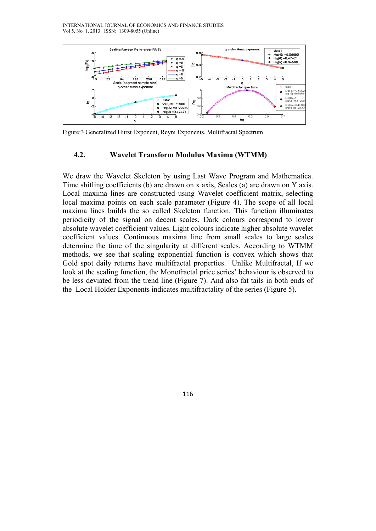

Figure:3 Generalized Hurst Exponent, Reyni Exponents, Multifractal Spectrum

#### **4.2. Wavelet Transform Modulus Maxima (WTMM)**

We draw the Wavelet Skeleton by using Last Wave Program and Mathematica. Time shifting coefficients (b) are drawn on x axis, Scales (a) are drawn on Y axis. Local maxima lines are constructed using Wavelet coefficient matrix, selecting local maxima points on each scale parameter (Figure 4). The scope of all local maxima lines builds the so called Skeleton function. This function illuminates periodicity of the signal on decent scales. Dark colours correspond to lower absolute wavelet coefficient values. Light colours indicate higher absolute wavelet coefficient values. Continuous maxima line from small scales to large scales determine the time of the singularity at different scales. According to WTMM methods, we see that scaling exponential function is convex which shows that Gold spot daily returns have multifractal properties. Unlike Multifractal, If we look at the scaling function, the Monofractal price series' behaviour is observed to be less deviated from the trend line (Figure 7). And also fat tails in both ends of the Local Holder Exponents indicates multifractality of the series (Figure 5).

116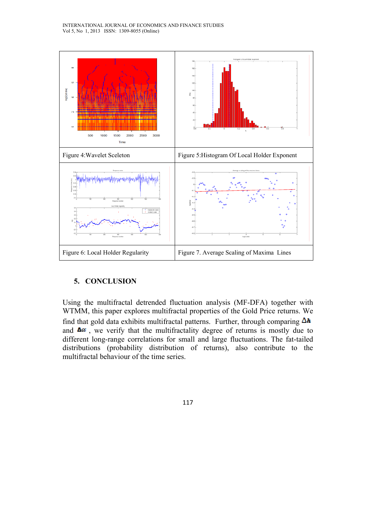

#### **5. CONCLUSION**

Using the multifractal detrended fluctuation analysis (MF-DFA) together with WTMM, this paper explores multifractal properties of the Gold Price returns. We find that gold data exhibits multifractal patterns. Further, through comparing  $\Delta h$ and  $\Delta \alpha$ , we verify that the multifractality degree of returns is mostly due to different long-range correlations for small and large fluctuations. The fat-tailed distributions (probability distribution of returns), also contribute to the multifractal behaviour of the time series.